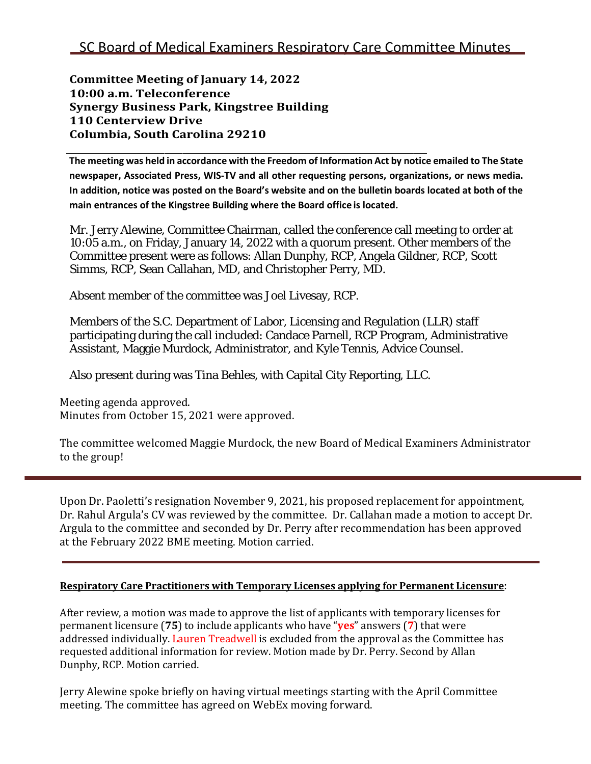**Committee Meeting of January 14, 2022 10:00 a.m. Teleconference Synergy Business Park, Kingstree Building 110 Centerview Drive Columbia, South Carolina 29210**

The meeting was held in accordance with the Freedom of Information Act by notice emailed to The State **newspaper, Associated Press, WIS-TV and all other requesting persons, organizations, or news media.**  In addition, notice was posted on the Board's website and on the bulletin boards located at both of the **main entrances of the Kingstree Building where the Board office is located.**

Mr. Jerry Alewine, Committee Chairman, called the conference call meeting to order at 10:05 a.m., on Friday, January 14, 2022 with a quorum present. Other members of the Committee present were as follows: Allan Dunphy, RCP, Angela Gildner, RCP, Scott Simms, RCP, Sean Callahan, MD, and Christopher Perry, MD.

Absent member of the committee was Joel Livesay, RCP.

Members of the S.C. Department of Labor, Licensing and Regulation (LLR) staff participating during the call included: Candace Parnell, RCP Program, Administrative Assistant, Maggie Murdock, Administrator, and Kyle Tennis, Advice Counsel.

Also present during was Tina Behles, with Capital City Reporting, LLC.

Meeting agenda approved. Minutes from October 15, 2021 were approved.

The committee welcomed Maggie Murdock, the new Board of Medical Examiners Administrator to the group!

Upon Dr. Paoletti's resignation November 9, 2021, his proposed replacement for appointment, Dr. Rahul Argula's CV was reviewed by the committee. Dr. Callahan made a motion to accept Dr. Argula to the committee and seconded by Dr. Perry after recommendation has been approved at the February 2022 BME meeting. Motion carried.

## **Respiratory Care Practitioners with Temporary Licenses applying for Permanent Licensure**:

After review, a motion was made to approve the list of applicants with temporary licenses for permanent licensure (**75**) to include applicants who have "**yes**" answers (**7**) that were addressed individually. Lauren Treadwell is excluded from the approval as the Committee has requested additional information for review. Motion made by Dr. Perry. Second by Allan Dunphy, RCP. Motion carried.

Jerry Alewine spoke briefly on having virtual meetings starting with the April Committee meeting. The committee has agreed on WebEx moving forward.